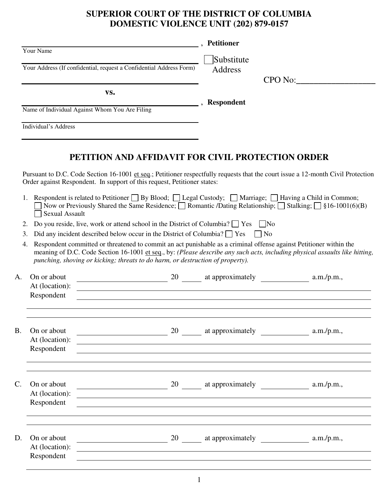## **SUPERIOR COURT OF THE DISTRICT OF COLUMBIA DOMESTIC VIOLENCE UNIT (202) 879-0157**

|                |                                                |                                                                                                                                                                                                                                                           | , Petitioner                        |                                                                                                                                  |
|----------------|------------------------------------------------|-----------------------------------------------------------------------------------------------------------------------------------------------------------------------------------------------------------------------------------------------------------|-------------------------------------|----------------------------------------------------------------------------------------------------------------------------------|
|                | Your Name                                      |                                                                                                                                                                                                                                                           |                                     |                                                                                                                                  |
|                |                                                | Your Address (If confidential, request a Confidential Address Form)                                                                                                                                                                                       | Substitute<br>Address               |                                                                                                                                  |
|                |                                                |                                                                                                                                                                                                                                                           |                                     | CPO No:                                                                                                                          |
|                |                                                | VS.                                                                                                                                                                                                                                                       |                                     |                                                                                                                                  |
|                |                                                |                                                                                                                                                                                                                                                           | <b>EXAMPLE 12 SECOND RESPONDENT</b> |                                                                                                                                  |
|                | Name of Individual Against Whom You Are Filing |                                                                                                                                                                                                                                                           |                                     |                                                                                                                                  |
|                | Individual's Address                           |                                                                                                                                                                                                                                                           |                                     |                                                                                                                                  |
|                |                                                | PETITION AND AFFIDAVIT FOR CIVIL PROTECTION ORDER                                                                                                                                                                                                         |                                     |                                                                                                                                  |
|                |                                                | Order against Respondent. In support of this request, Petitioner states:                                                                                                                                                                                  |                                     | Pursuant to D.C. Code Section 16-1001 et seq.; Petitioner respectfully requests that the court issue a 12-month Civil Protection |
|                | <b>Sexual Assault</b>                          | Respondent is related to Petitioner $\Box$ By Blood; $\Box$ Legal Custody; $\Box$ Marriage; $\Box$ Having a Child in Common;<br>Now or Previously Shared the Same Residence; $\Box$ Romantic /Dating Relationship; $\Box$ Stalking; $\Box$ §16-1001(6)(B) |                                     |                                                                                                                                  |
| 2.             |                                                | Do you reside, live, work or attend school in the District of Columbia? $\Box$ Yes $\Box$ No                                                                                                                                                              |                                     |                                                                                                                                  |
|                |                                                |                                                                                                                                                                                                                                                           |                                     |                                                                                                                                  |
|                |                                                |                                                                                                                                                                                                                                                           |                                     |                                                                                                                                  |
| 3.<br>4.       |                                                | Did any incident described below occur in the District of Columbia? $\Box$ Yes<br>Respondent committed or threatened to commit an act punishable as a criminal offense against Petitioner within the                                                      | $\Box$ No                           | meaning of D.C. Code Section 16-1001 et seq., by: (Please describe any such acts, including physical assaults like hitting,      |
|                |                                                | punching, shoving or kicking; threats to do harm, or destruction of property).                                                                                                                                                                            |                                     |                                                                                                                                  |
|                | On or about<br>At (location):                  | <u>and the contract of the contract of the contract of the contract of the contract of the contract of the contract of</u>                                                                                                                                |                                     |                                                                                                                                  |
|                | Respondent                                     | <u>and the state of the state of the state of the state of the state of the state of the state of the state of th</u>                                                                                                                                     |                                     |                                                                                                                                  |
|                |                                                |                                                                                                                                                                                                                                                           |                                     |                                                                                                                                  |
|                | On or about                                    |                                                                                                                                                                                                                                                           |                                     |                                                                                                                                  |
|                | At (location):<br>Respondent                   | and the control of the control of the control of the control of the control of the control of the control of the                                                                                                                                          |                                     |                                                                                                                                  |
|                |                                                |                                                                                                                                                                                                                                                           |                                     |                                                                                                                                  |
|                | On or about                                    | $20$ at approximately $\frac{1}{20}$ a.m./p.m.,                                                                                                                                                                                                           |                                     |                                                                                                                                  |
|                | At (location):                                 |                                                                                                                                                                                                                                                           |                                     |                                                                                                                                  |
| A.<br>B.<br>C. | Respondent                                     |                                                                                                                                                                                                                                                           |                                     |                                                                                                                                  |
| D.             | On or about                                    |                                                                                                                                                                                                                                                           |                                     |                                                                                                                                  |
|                | At (location):<br>Respondent                   | <u> 1989 - Johann Stoff, amerikansk politiker (d. 1989)</u>                                                                                                                                                                                               |                                     |                                                                                                                                  |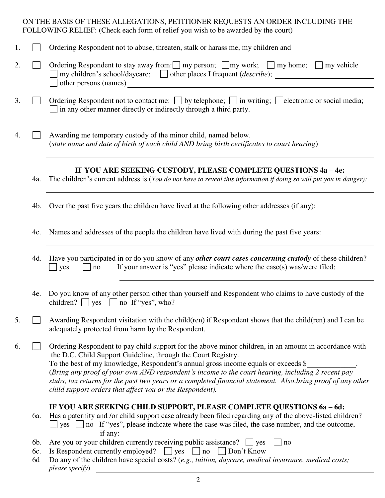## ON THE BASIS OF THESE ALLEGATIONS, PETITIONER REQUESTS AN ORDER INCLUDING THE FOLLOWING RELIEF: (Check each form of relief you wish to be awarded by the court)

| 1. |                                                                                                                                                              | Ordering Respondent not to abuse, threaten, stalk or harass me, my children and                                                                                                                                                                                                                                                                                                                                                                                                                                                                |
|----|--------------------------------------------------------------------------------------------------------------------------------------------------------------|------------------------------------------------------------------------------------------------------------------------------------------------------------------------------------------------------------------------------------------------------------------------------------------------------------------------------------------------------------------------------------------------------------------------------------------------------------------------------------------------------------------------------------------------|
| 2. |                                                                                                                                                              | Ordering Respondent to stay away from: $\Box$ my person; $\Box$ my work; $\Box$ my home; $\Box$ my vehicle<br>my children's school/daycare; $\Box$ other places I frequent ( <i>describe</i> );                                                                                                                                                                                                                                                                                                                                                |
|    |                                                                                                                                                              | other persons (names) Santa Contract of the set of the set of the set of the set of the set of the set of the set of the set of the set of the set of the set of the set of the set of the set of the set of the set of the se                                                                                                                                                                                                                                                                                                                 |
| 3. |                                                                                                                                                              | Ordering Respondent not to contact me: $\Box$ by telephone; $\Box$ in writing; $\Box$ electronic or social media;<br>$\Box$ in any other manner directly or indirectly through a third party.                                                                                                                                                                                                                                                                                                                                                  |
| 4. | Awarding me temporary custody of the minor child, named below.<br>(state name and date of birth of each child AND bring birth certificates to court hearing) |                                                                                                                                                                                                                                                                                                                                                                                                                                                                                                                                                |
|    | 4a.                                                                                                                                                          | IF YOU ARE SEEKING CUSTODY, PLEASE COMPLETE QUESTIONS 4a - 4e:<br>The children's current address is (You do not have to reveal this information if doing so will put you in danger):                                                                                                                                                                                                                                                                                                                                                           |
|    | 4b.                                                                                                                                                          | Over the past five years the children have lived at the following other addresses (if any):                                                                                                                                                                                                                                                                                                                                                                                                                                                    |
|    | 4c.                                                                                                                                                          | Names and addresses of the people the children have lived with during the past five years:                                                                                                                                                                                                                                                                                                                                                                                                                                                     |
|    | 4d.                                                                                                                                                          | Have you participated in or do you know of any <i>other court cases concerning custody</i> of these children?<br>If your answer is "yes" please indicate where the case(s) was/were filed:<br>yes<br>no                                                                                                                                                                                                                                                                                                                                        |
|    | 4e.                                                                                                                                                          | Do you know of any other person other than yourself and Respondent who claims to have custody of the<br>children? ges g no If "yes", who?<br><u> 1980 - Jan Stein Stein Stein Stein Stein Stein Stein Stein Stein Stein Stein Stein Stein Stein Stein Stein S</u>                                                                                                                                                                                                                                                                              |
| 5. |                                                                                                                                                              | Awarding Respondent visitation with the child(ren) if Respondent shows that the child(ren) and I can be<br>adequately protected from harm by the Respondent.                                                                                                                                                                                                                                                                                                                                                                                   |
| 6. |                                                                                                                                                              | Ordering Respondent to pay child support for the above minor children, in an amount in accordance with<br>the D.C. Child Support Guideline, through the Court Registry.<br>To the best of my knowledge, Respondent's annual gross income equals or exceeds \$<br>(Bring any proof of your own AND respondent's income to the court hearing, including 2 recent pay<br>stubs, tax returns for the past two years or a completed financial statement. Also, bring proof of any other<br>child support orders that affect you or the Respondent). |
|    | 6a.                                                                                                                                                          | IF YOU ARE SEEKING CHILD SUPPORT, PLEASE COMPLETE QUESTIONS 6a - 6d:<br>Has a paternity and /or child support case already been filed regarding any of the above-listed children?<br>$\Box$ yes $\Box$ no If "yes", please indicate where the case was filed, the case number, and the outcome,<br>if any:                                                                                                                                                                                                                                     |
|    | 6b.<br>6c.<br>6d                                                                                                                                             | Are you or your children currently receiving public assistance?<br>yes<br>no<br>Is Respondent currently employed? $\Box$ yes $\Box$ no $\Box$ Don't Know<br>Do any of the children have special costs? (e.g., tuition, daycare, medical insurance, medical costs;<br>please specify)                                                                                                                                                                                                                                                           |
|    |                                                                                                                                                              |                                                                                                                                                                                                                                                                                                                                                                                                                                                                                                                                                |